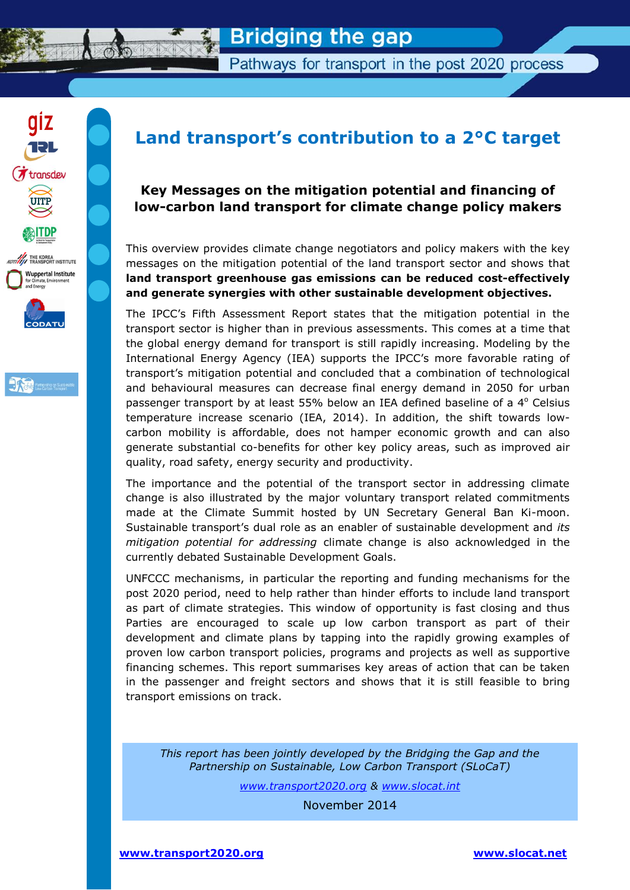

Pathways for transport in the post 2020 process





# **Land transport's contribution to a 2°C target**

### **Key Messages on the mitigation potential and financing of low-carbon land transport for climate change policy makers**

This overview provides climate change negotiators and policy makers with the key messages on the mitigation potential of the land transport sector and shows that **land transport greenhouse gas emissions can be reduced cost-effectively and generate synergies with other sustainable development objectives.** 

The IPCC's Fifth Assessment Report states that the mitigation potential in the transport sector is higher than in previous assessments. This comes at a time that the global energy demand for transport is still rapidly increasing. Modeling by the International Energy Agency (IEA) supports the IPCC's more favorable rating of transport's mitigation potential and concluded that a combination of technological and behavioural measures can decrease final energy demand in 2050 for urban passenger transport by at least 55% below an IEA defined baseline of a  $4^{\circ}$  Celsius temperature increase scenario (IEA, 2014). In addition, the shift towards lowcarbon mobility is affordable, does not hamper economic growth and can also generate substantial co-benefits for other key policy areas, such as improved air quality, road safety, energy security and productivity.

The importance and the potential of the transport sector in addressing climate change is also illustrated by the major voluntary transport related commitments made at the Climate Summit hosted by UN Secretary General Ban Ki-moon. Sustainable transport's dual role as an enabler of sustainable development and *its mitigation potential for addressing* climate change is also acknowledged in the currently debated Sustainable Development Goals.

UNFCCC mechanisms, in particular the reporting and funding mechanisms for the post 2020 period, need to help rather than hinder efforts to include land transport as part of climate strategies. This window of opportunity is fast closing and thus Parties are encouraged to scale up low carbon transport as part of their development and climate plans by tapping into the rapidly growing examples of proven low carbon transport policies, programs and projects as well as supportive financing schemes. This report summarises key areas of action that can be taken in the passenger and freight sectors and shows that it is still feasible to bring transport emissions on track.

*This report has been jointly developed by the Bridging the Gap and the Partnership on Sustainable, Low Carbon Transport (SLoCaT)*

*[www.transport2020.org](http://www.transport2020.org/) & [www.slocat.int](http://www.slocat.int/)*

November 2014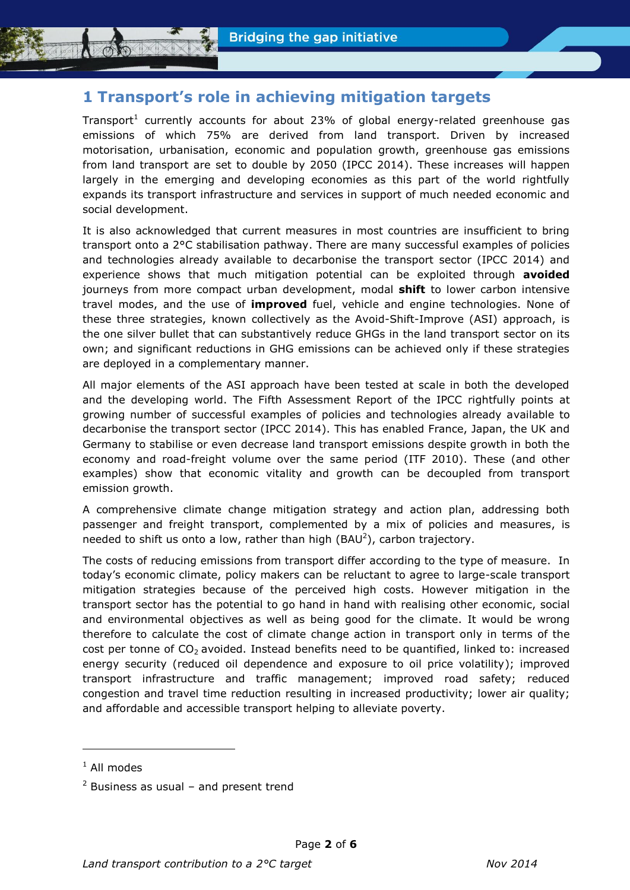# **1 Transport's role in achieving mitigation targets**

Transport<sup>1</sup> currently accounts for about 23% of global energy-related greenhouse gas emissions of which 75% are derived from land transport. Driven by increased motorisation, urbanisation, economic and population growth, greenhouse gas emissions from land transport are set to double by 2050 (IPCC 2014). These increases will happen largely in the emerging and developing economies as this part of the world rightfully expands its transport infrastructure and services in support of much needed economic and social development.

It is also acknowledged that current measures in most countries are insufficient to bring transport onto a 2°C stabilisation pathway. There are many successful examples of policies and technologies already available to decarbonise the transport sector (IPCC 2014) and experience shows that much mitigation potential can be exploited through **avoided** journeys from more compact urban development, modal **shift** to lower carbon intensive travel modes, and the use of **improved** fuel, vehicle and engine technologies. None of these three strategies, known collectively as the Avoid-Shift-Improve (ASI) approach, is the one silver bullet that can substantively reduce GHGs in the land transport sector on its own; and significant reductions in GHG emissions can be achieved only if these strategies are deployed in a complementary manner.

All major elements of the ASI approach have been tested at scale in both the developed and the developing world. The Fifth Assessment Report of the IPCC rightfully points at growing number of successful examples of policies and technologies already available to decarbonise the transport sector (IPCC 2014). This has enabled France, Japan, the UK and Germany to stabilise or even decrease land transport emissions despite growth in both the economy and road-freight volume over the same period (ITF 2010). These (and other examples) show that economic vitality and growth can be decoupled from transport emission growth.

A comprehensive climate change mitigation strategy and action plan, addressing both passenger and freight transport, complemented by a mix of policies and measures, is needed to shift us onto a low, rather than high  $(BAU^2)$ , carbon trajectory.

The costs of reducing emissions from transport differ according to the type of measure. In today's economic climate, policy makers can be reluctant to agree to large-scale transport mitigation strategies because of the perceived high costs. However mitigation in the transport sector has the potential to go hand in hand with realising other economic, social and environmental objectives as well as being good for the climate. It would be wrong therefore to calculate the cost of climate change action in transport only in terms of the cost per tonne of  $CO<sub>2</sub>$  avoided. Instead benefits need to be quantified, linked to: increased energy security (reduced oil dependence and exposure to oil price volatility); improved transport infrastructure and traffic management; improved road safety; reduced congestion and travel time reduction resulting in increased productivity; lower air quality; and affordable and accessible transport helping to alleviate poverty.

-

 $<sup>1</sup>$  All modes</sup>

 $2$  Business as usual – and present trend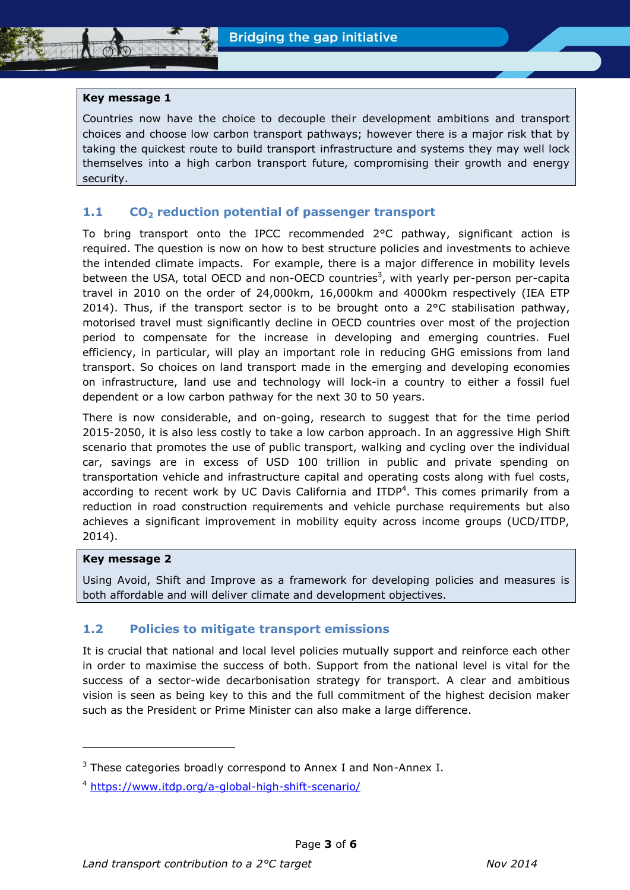#### **Key message 1**

Countries now have the choice to decouple their development ambitions and transport choices and choose low carbon transport pathways; however there is a major risk that by taking the quickest route to build transport infrastructure and systems they may well lock themselves into a high carbon transport future, compromising their growth and energy security.

#### **1.1 CO<sup>2</sup> reduction potential of passenger transport**

To bring transport onto the IPCC recommended 2°C pathway, significant action is required. The question is now on how to best structure policies and investments to achieve the intended climate impacts. For example, there is a major difference in mobility levels between the USA, total OECD and non-OECD countries<sup>3</sup>, with yearly per-person per-capita travel in 2010 on the order of 24,000km, 16,000km and 4000km respectively (IEA ETP 2014). Thus, if the transport sector is to be brought onto a  $2^{\circ}$ C stabilisation pathway, motorised travel must significantly decline in OECD countries over most of the projection period to compensate for the increase in developing and emerging countries. Fuel efficiency, in particular, will play an important role in reducing GHG emissions from land transport. So choices on land transport made in the emerging and developing economies on infrastructure, land use and technology will lock-in a country to either a fossil fuel dependent or a low carbon pathway for the next 30 to 50 years.

There is now considerable, and on-going, research to suggest that for the time period 2015-2050, it is also less costly to take a low carbon approach. In an aggressive High Shift scenario that promotes the use of public transport, walking and cycling over the individual car, savings are in excess of USD 100 trillion in public and private spending on transportation vehicle and infrastructure capital and operating costs along with fuel costs, according to recent work by UC Davis California and ITDP<sup>4</sup>. This comes primarily from a reduction in road construction requirements and vehicle purchase requirements but also achieves a significant improvement in mobility equity across income groups (UCD/ITDP, 2014).

#### **Key message 2**

-

Using Avoid, Shift and Improve as a framework for developing policies and measures is both affordable and will deliver climate and development objectives.

#### **1.2 Policies to mitigate transport emissions**

It is crucial that national and local level policies mutually support and reinforce each other in order to maximise the success of both. Support from the national level is vital for the success of a sector-wide decarbonisation strategy for transport. A clear and ambitious vision is seen as being key to this and the full commitment of the highest decision maker such as the President or Prime Minister can also make a large difference.

 $3$  These categories broadly correspond to Annex I and Non-Annex I.

<sup>4</sup> <https://www.itdp.org/a-global-high-shift-scenario/>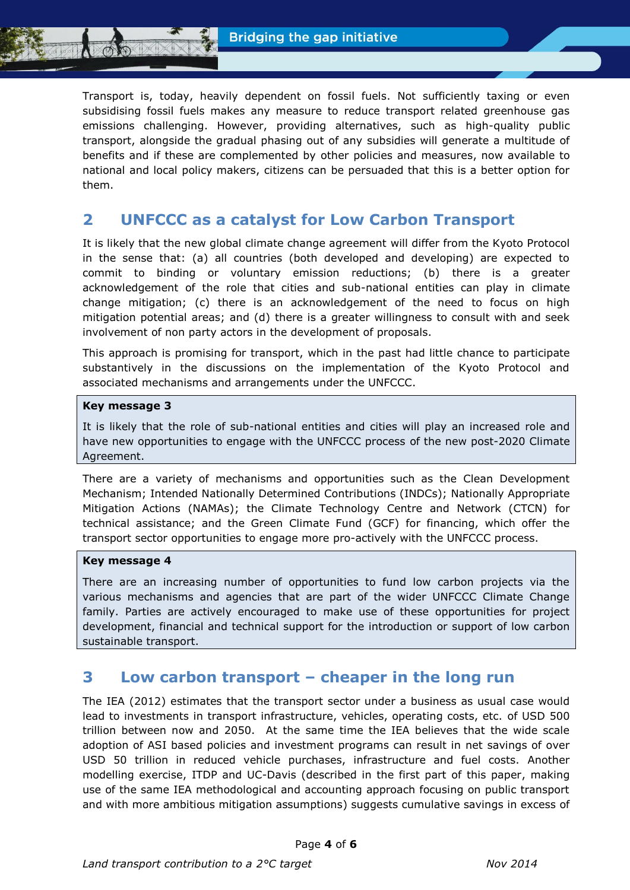Transport is, today, heavily dependent on fossil fuels. Not sufficiently taxing or even subsidising fossil fuels makes any measure to reduce transport related greenhouse gas emissions challenging. However, providing alternatives, such as high-quality public transport, alongside the gradual phasing out of any subsidies will generate a multitude of benefits and if these are complemented by other policies and measures, now available to national and local policy makers, citizens can be persuaded that this is a better option for them.

# **2 UNFCCC as a catalyst for Low Carbon Transport**

It is likely that the new global climate change agreement will differ from the Kyoto Protocol in the sense that: (a) all countries (both developed and developing) are expected to commit to binding or voluntary emission reductions; (b) there is a greater acknowledgement of the role that cities and sub-national entities can play in climate change mitigation; (c) there is an acknowledgement of the need to focus on high mitigation potential areas; and (d) there is a greater willingness to consult with and seek involvement of non party actors in the development of proposals.

This approach is promising for transport, which in the past had little chance to participate substantively in the discussions on the implementation of the Kyoto Protocol and associated mechanisms and arrangements under the UNFCCC.

#### **Key message 3**

It is likely that the role of sub-national entities and cities will play an increased role and have new opportunities to engage with the UNFCCC process of the new post-2020 Climate Agreement.

There are a variety of mechanisms and opportunities such as the Clean Development Mechanism; Intended Nationally Determined Contributions (INDCs); Nationally Appropriate Mitigation Actions (NAMAs); the Climate Technology Centre and Network (CTCN) for technical assistance; and the Green Climate Fund (GCF) for financing, which offer the transport sector opportunities to engage more pro-actively with the UNFCCC process.

#### **Key message 4**

There are an increasing number of opportunities to fund low carbon projects via the various mechanisms and agencies that are part of the wider UNFCCC Climate Change family. Parties are actively encouraged to make use of these opportunities for project development, financial and technical support for the introduction or support of low carbon sustainable transport.

# **3 Low carbon transport – cheaper in the long run**

The IEA (2012) estimates that the transport sector under a business as usual case would lead to investments in transport infrastructure, vehicles, operating costs, etc. of USD 500 trillion between now and 2050. At the same time the IEA believes that the wide scale adoption of ASI based policies and investment programs can result in net savings of over USD 50 trillion in reduced vehicle purchases, infrastructure and fuel costs. Another modelling exercise, ITDP and UC-Davis (described in the first part of this paper, making use of the same IEA methodological and accounting approach focusing on public transport and with more ambitious mitigation assumptions) suggests cumulative savings in excess of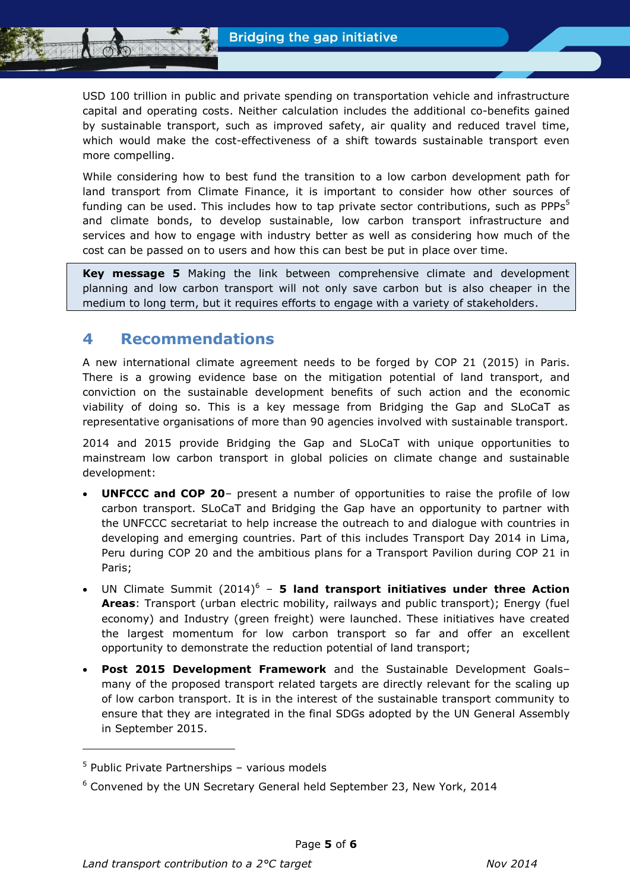USD 100 trillion in public and private spending on transportation vehicle and infrastructure capital and operating costs. Neither calculation includes the additional co-benefits gained by sustainable transport, such as improved safety, air quality and reduced travel time, which would make the cost-effectiveness of a shift towards sustainable transport even more compelling.

While considering how to best fund the transition to a low carbon development path for land transport from Climate Finance, it is important to consider how other sources of funding can be used. This includes how to tap private sector contributions, such as PPPs<sup>5</sup> and climate bonds, to develop sustainable, low carbon transport infrastructure and services and how to engage with industry better as well as considering how much of the cost can be passed on to users and how this can best be put in place over time.

**Key message 5** Making the link between comprehensive climate and development planning and low carbon transport will not only save carbon but is also cheaper in the medium to long term, but it requires efforts to engage with a variety of stakeholders.

# **4 Recommendations**

A new international climate agreement needs to be forged by COP 21 (2015) in Paris. There is a growing evidence base on the mitigation potential of land transport, and conviction on the sustainable development benefits of such action and the economic viability of doing so. This is a key message from Bridging the Gap and SLoCaT as representative organisations of more than 90 agencies involved with sustainable transport.

2014 and 2015 provide Bridging the Gap and SLoCaT with unique opportunities to mainstream low carbon transport in global policies on climate change and sustainable development:

- **UNFCCC and COP 20** present a number of opportunities to raise the profile of low carbon transport. SLoCaT and Bridging the Gap have an opportunity to partner with the UNFCCC secretariat to help increase the outreach to and dialogue with countries in developing and emerging countries. Part of this includes Transport Day 2014 in Lima, Peru during COP 20 and the ambitious plans for a Transport Pavilion during COP 21 in Paris;
- UN Climate Summit (2014)<sup>6</sup> **5 land transport initiatives under three Action Areas**: Transport (urban electric mobility, railways and public transport); Energy (fuel economy) and Industry (green freight) were launched. These initiatives have created the largest momentum for low carbon transport so far and offer an excellent opportunity to demonstrate the reduction potential of land transport;
- **Post 2015 Development Framework** and the Sustainable Development Goals– many of the proposed transport related targets are directly relevant for the scaling up of low carbon transport. It is in the interest of the sustainable transport community to ensure that they are integrated in the final SDGs adopted by the UN General Assembly in September 2015.

-

<sup>5</sup> Public Private Partnerships – various models

 $6$  Convened by the UN Secretary General held September 23, New York, 2014